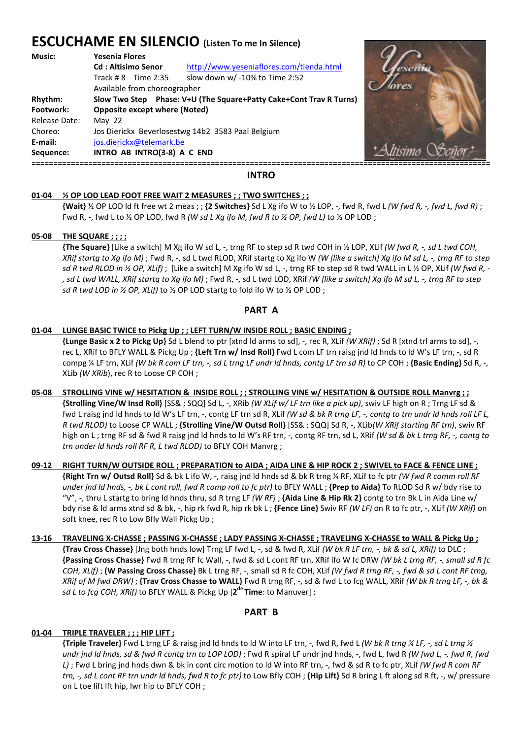# **ESCUCHAME EN SILENCIO (Listen To me In Silence)**

| Music:        | <b>Yesenia Flores</b>                                              |                                          |                    |
|---------------|--------------------------------------------------------------------|------------------------------------------|--------------------|
|               | <b>Cd</b> : Altisimo Senor                                         | http://www.yeseniaflores.com/tienda.html |                    |
|               | Track # $8$ Time 2:35                                              | slow down w/ -10% to Time 2:52           |                    |
|               | Available from choreographer                                       |                                          | <b><i>ores</i></b> |
| Rhythm:       | Slow Two Step Phase: V+U (The Square+Patty Cake+Cont Trav R Turns) |                                          |                    |
| Footwork:     | <b>Opposite except where (Noted)</b>                               |                                          |                    |
| Release Date: | May $22$                                                           |                                          |                    |
| Choreo:       | Jos Dierickx Beverlosestwg 14b2 3583 Paal Belgium                  |                                          |                    |
| E-mail:       | jos.dierickx@telemark.be                                           |                                          |                    |
| Sequence:     | INTRO AB INTRO(3-8) A C END                                        |                                          |                    |
|               |                                                                    |                                          |                    |



#### **INTRO**

#### **01-04 ½ OP LOD LEAD FOOT FREE WAIT 2 MEASURES ; ; TWO SWITCHES ; ;**

 **{Wait}** ½ OP LOD ld ft free wt 2 meas ; ; **{2 Switches}** Sd L Xg ifo W to ½ LOP, -, fwd R, fwd L *(W fwd R, -, fwd L, fwd R)* ; Fwd R, -, fwd L to ½ OP LOD, fwd R *(W sd L Xg ifo M, fwd R to ½ OP, fwd L)* to ½ OP LOD ;

#### **05-08 THE SQUARE ; ; ; ;**

 **{The Square}** [Like a switch] M Xg ifo W sd L, -, trng RF to step sd R twd COH in ½ LOP, XLif *(W fwd R, -, sd L twd COH, XRif startg to Xg ifo M)* ; Fwd R, -, sd L twd RLOD, XRif startg to Xg ifo W *(W [like a switch] Xg ifo M sd L, -, trng RF to step sd R twd RLOD in ½ OP, XLif)* ; [Like a switch] M Xg ifo W sd L, -, trng RF to step sd R twd WALL in L ½ OP, XLif *(W fwd R, - , sd L twd WALL, XRif startg to Xg ifo M)* ; Fwd R, -, sd L twd LOD, XRif *(W [like a switch] Xg ifo M sd L, -, trng RF to step sd R twd LOD in ½ OP, XLif)* to ½ OP LOD startg to fold ifo W to ½ OP LOD ;

## **PART A**

#### **01-04 LUNGE BASIC TWICE to Pickg Up ; ; LEFT TURN/W INSIDE ROLL ; BASIC ENDING ;**

 **{Lunge Basic x 2 to Pickg Up}** Sd L blend to ptr [xtnd ld arms to sd], -, rec R, XLif *(W XRif)* ; Sd R [xtnd trl arms to sd], -, rec L, XRif to BFLY WALL & Pickg Up ; **{Left Trn w/ Insd Roll}** Fwd L com LF trn raisg jnd ld hnds to ld W's LF trn, -, sd R compg ¼ LF trn, XLif *(W bk R com LF trn, -, sd L trng LF undr ld hnds, contg LF trn sd R)* to CP COH ; **{Basic Ending}** Sd R, -, XLib *(W XRib*), rec R to Loose CP COH ;

#### **05-08 STROLLING VINE w/ HESITATION & INSIDE ROLL ; ; STROLLING VINE w/ HESITATION & OUTSIDE ROLL Manvrg ; ; {Strolling Vine/W Insd Roll}** [SS& ; SQQ] Sd L, -, XRib *(W XLif w/ LF trn like a pick up)*, swiv LF high on R ; Trng LF sd & fwd L raisg jnd ld hnds to ld W's LF trn, -, contg LF trn sd R, XLif *(W sd & bk R trng LF, -, contg to trn undr ld hnds roll LF L, R twd RLOD)* to Loose CP WALL ; **{Strolling Vine/W Outsd Roll}** [SS& ; SQQ] Sd R, -, XLib*(W XRif starting RF trn)*, swiv RF high on L ; trng RF sd & fwd R raisg jnd ld hnds to ld W's RF trn, -, contg RF trn, sd L, XRif *(W sd & bk L trng RF, -, contg to trn under ld hnds roll RF R, L twd RLOD)* to BFLY COH Manvrg ;

- **09-12 RIGHT TURN/W OUTSIDE ROLL ; PREPARATION to AIDA ; AIDA LINE & HIP ROCK 2 ; SWIVEL to FACE & FENCE LINE ; {Right Trn w/ Outsd Roll}** Sd & bk L ifo W, -, raisg jnd ld hnds sd & bk R trng ¼ RF, XLif to fc ptr *(W fwd R comm roll RF under jnd ld hnds, -, bk L cont roll, fwd R comp roll to fc ptr)* to BFLY WALL ; **{Prep to Aida}** To RLOD Sd R w/ bdy rise to "V", -, thru L startg to bring ld hnds thru, sd R trng LF *(W RF)* ; **{Aida Line & Hip Rk 2}** contg to trn Bk L in Aida Line w/ bdy rise & ld arms xtnd sd & bk, -, hip rk fwd R, hip rk bk L ; **{Fence Line}** Swiv RF *(W LF)* on R to fc ptr, -, XLif *(W XRif)* on soft knee, rec R to Low Bfly Wall Pickg Up ;
- **13-16 TRAVELING X-CHASSE ; PASSING X-CHASSE ; LADY PASSING X-CHASSE ; TRAVELING X-CHASSE to WALL & Pickg Up ; {Trav Cross Chasse}** [Jng both hnds low] Trng LF fwd L, -, sd & fwd R, XLif *(W bk R LF trn, -, bk & sd L, XRif)* to DLC ; **{Passing Cross Chasse}** Fwd R trng RF fc Wall, -, fwd & sd L cont RF trn, XRif ifo W fc DRW *(W bk L trng RF, -, small sd R fc COH, XLif)* ; **{W Passing Cross Chasse}** Bk L trng RF, -, small sd R fc COH, XLif *(W fwd R trng RF, -, fwd & sd L cont RF trng, XRif of M fwd DRW)* ; **{Trav Cross Chasse to WALL}** Fwd R trng RF, -, sd & fwd L to fcg WALL, XRif *(W bk R trng LF, -, bk & sd L to fcg COH, XRif)* to BFLY WALL & Pickg Up [**2 de Time**: to Manuver] ;

# **PART B**

#### **01-04 TRIPLE TRAVELER ; ; ; HIP LIFT ;**

**{Triple Traveler}** Fwd L trng LF & raisg jnd ld hnds to ld W into LF trn, -, fwd R, fwd L *(W bk R trng ¼ LF, -, sd L trng ½ undr jnd ld hnds, sd & fwd R contg trn to LOP LOD)* ; Fwd R spiral LF undr jnd hnds, -, fwd L, fwd R *(W fwd L, -, fwd R, fwd L)* ; Fwd L bring jnd hnds dwn & bk in cont circ motion to ld W into RF trn, -, fwd & sd R to fc ptr, XLif *(W fwd R com RF trn, -, sd L cont RF trn undr ld hnds, fwd R to fc ptr)* to Low Bfly COH ; **{Hip Lift}** Sd R bring L ft along sd R ft, -, w/ pressure on L toe lift lft hip, lwr hip to BFLY COH ;